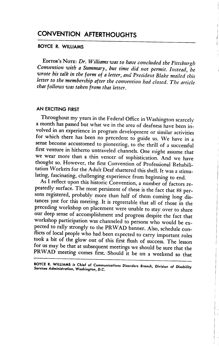# CONVENTION AFTERTHOUGHTS

# BOYCE R. WILLIAMS

EDITOR'S NOTE: Dr. Williams was to have concluded the Pittsburgh Convention with a Summary, but time did not permit. Instead, he wrote his talk in the form of a letter, and President Blake mailed this letter to the membership after the convention had closed. The article that follows was taken from that letter.

# AN EXCITING FIRST

Throughout my years in the Federal Office in Washington scarcely a month has passed but what we in the area of deafness have been in volved in an experience in program development or similar activities for which there has been no precedent to guide us. We have in a sense become accustomed to pioneering, to the thrill of a successful first venture in hitherto untraveled channels. One might assume that we wear more than a thin veneer of sophistication. And we have thought so. However, the first Convention of Professional Rehabili tation Workers for the Adult Deaf shattered this shell. It was a stimu lating, fascinating, challenging experience from beginning to end.

As I reflect upon this historic Convention, a number of factors re peatedly surface. The most persistent of these is the fact that 88 persons registered, probably more than half of them coming long distances just for this meeting. It is regrettable that all of those in the preceding workshop on placement were unable to stay over to share our deep sense of accomplishment and progress despite the fact that workshop participation was channeled to persons who would be ex pected to rally strongly to the PRWAD banner. Also, schedule conflicts of local people who had been expected to carry important roles took a bit of the glow out of this first flush of success. The lesson for us may be that at subsequent meetings we should be sure that the PRWAD meeting comes first. Should it be on a weekend so that

BOYCE R. WILLIAMS is Chief of Communications Disorders Branch, Division of Disability<br>Services Administration, Washinaton, D.C.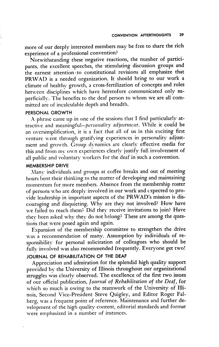more of our deeply interested members may be free to share the rich experience of a professional convention?

Notwithstanding these negative reactions, the number of partici pants, the excellent speeches, the stimulating discussion groups and the earnest attention to constitutional revisions all emphasize that PRWAD is a needed organization. It should bring to our work a climate of healthy growth, a cross-fertilization of concepts and roles between disciplines which have heretofore communicated only su perficially. The benefits to the deaf person to whom we are all com mitted arc of incalculable depth and breadth.

#### PERSONAL GROWTH

A phrase came up in one of the sessions that I find particularly at tractive and meaningful-personality adjustment. While it could be an oversimplification, it is a fact that all of us in this exciting first venture went through gratifying experiences in personality adjustment and growth. Group dynamics are clearly effective media for this and from my own experiences clearly justify full involvement of all public and voluntary workers for the deaf in such a convention.

# MEMBERSHIP DRIVE

Manx- individuals and groups at coffee breaks and out of meeting hours bent their thinking to the matter of developing and maintaining momentum for more members. Absence from the membership roster of persons who are deeply involved in our work and expected to pro vide leadership in important aspects of the PRWAD's mission is dis couraging and disquieting. Why are they not involved? How have we failed to reach them? Did they receive invitations to join? Have they been asked why they do not belong? These are among the ques tions that were posed again and again.

Expansion of the membership committee to strengthen the drive was a recommendation of many. Assumption by individuals of responsibility for personal solicitation of colleagues who should be fully involved was also recommended frequently. Everyone get two! JOURNAL OF REHABILITATION OF THE DEAF

Appreciation and admiration for the splendid high quality support provided by the University of Illinois throughout our organizational struggles was clearly observed. The excellence of the first two issues of our official publication. Journal of Rehabilitation of the Deaf, for which so much is owing to the teamwork of the University of Illi nois, Second Vice-President Steve Quigley, and Editor Roger Falberg, was a frequent point of reference. Maintenance and further de velopment of the high quality content, editorial standards and format xvere emphasized in a number of instances.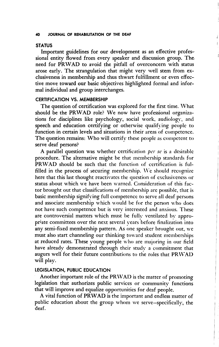#### 40 JOURNAL OF REHABILITATION OF THE DEAF

### **STATUS**

Important guidelines for our development as an effective profes sional entity flowed from every speaker and discussion group. The need for PRWAD to avoid the pitfall of overconcern with status arose early. The strangulation that might very well stem from exclusiveness in membership and thus thwart fulfillment or even effec tive move toward our basic objectives highlighted formal and infor mal individual and group interchanges.

## CERTIFICATION VS. MEMBERSHIP

The question of certification was explored for the first time. What should be the PRWAD role? We now have professional organizations for disciplines like psychology, social work, audiology, and speech and education certifying or otherwise qualifying people to function in certain levels and situations in their areas of competence. The question remains: Who will certify these people as competent to serve deaf persons?

A parallel question was whether certification per se is a desirable procedure. The alternative might be that membership standards for PRWAD should be such that the function of certification is ful filled in the process of securing membership. We should recognize here that this last thought reactivates the question of exclusiveness or status about which we have been warned. Consideration of this fac tor brought out that classifications of membership are possible, that is basic membership signifying full competence to serve all deaf persons and associate membership which would be for the person who does not have such competence but is very interested and anxious. These are controversial matters which must be fully ventilated by appro priate committees over the next several years before finalization into any semi-fixed membership pattern. As one speaker brought out, we must also start channeling our thinking tow ard student memberships at reduced rates. These young people w ho are majoring in our field have already demonstrated through their study a commitment that augurs well for their future contributions to the roles that PRWAD will play.

## LEGISLATION, PUBLIC EDUCATION

Another important role of the PRWAD is the matter of promoting legislation that authorizes public services or community functions that will improve and equalize opportunities for deaf people.

A vital function of PRWAD is the important and endless matter of public education about the group whom we serve—specifically, the deaf.